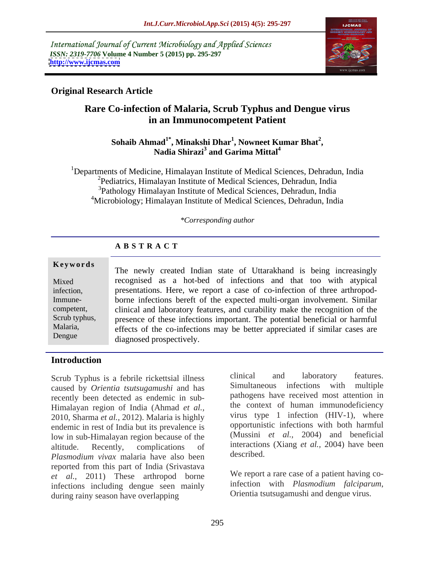International Journal of Current Microbiology and Applied Sciences *ISSN: 2319-7706* **Volume 4 Number 5 (2015) pp. 295-297 <http://www.ijcmas.com>**



### **Original Research Article**

# **Rare Co-infection of Malaria, Scrub Typhus and Dengue virus in an Immunocompetent Patient**

#### **Sohaib Ahmad1\* , Minakshi Dhar<sup>1</sup> , Nowneet Kumar Bhat<sup>2</sup> ,** Nadia Shirazi<sup>3</sup> and Garima Mittal<sup>4</sup> **and Garima Mittal4**

<sup>1</sup>Departments of Medicine, Himalayan Institute of Medical Sciences, Dehradun, India <sup>2</sup>Pediatrics, Himalayan Institute of Medical Sciences, Dehradun, India <sup>3</sup>Pathology Himalayan Institute of Medical Sciences, Dehradun, India <sup>4</sup>Microbiology; Himalayan Institute of Medical Sciences, Dehradun, India

#### *\*Corresponding author*

## **A B S T R A C T**

**Keywords** The newly created Indian state of Uttarakhand is being increasingly Mixed recognised as a hot-bed of infections and that too with atypical infection, presentations. Here, we report a case of co-infection of three arthropodborne infections bereft of the expected multi-organ involvement. Similar Immune competent, clinical and laboratory features, and curability make the recognition of the Scrub typhus, presence of these infections important. The potential beneficial or harmful effects of the co-infections may be better appreciated if similar cases are Malaria, diagnosed prospectively. Dengue

#### **Introduction**

caused by *Orientia tsutsugamushi* and has recently been detected as endemic in sub- Himalayan region of India (Ahmad *et al.,* 2010, Sharma *et al.,* 2012). Malaria is highly endemic in rest of India but its prevalence is low in sub-Himalayan region because of the altitude. Recently, complications of interactions (Xiang *et al.,* 2004) have been *Plasmodium vivax* malaria have also been described. reported from this part of India (Srivastava *et al.*, 2011) These arthropod borne We report a rare case of a patient having co-<br>infections including dengue seen mainly infection with *Plasmodium falciparum*, infections including dengue seen mainly<br>during rainy season have overlanning<br>Orientia tsutsugamushi and dengue virus. during rainy season have overlapping

Scrub Typhus is a febrile rickettsial illness<br>caused by Orientia tsutsugamushi and has<br>Simultaneous infections with multiple clinical and laboratory features. Simultaneous infections with multiple pathogens have received most attention in the context of human immunodeficiency virus type 1 infection (HIV-1), where opportunistic infections with both harmful (Mussini *et al.,* 2004) and beneficial described.

> We report a rare case of a patient having coinfection with *Plasmodium falciparum*, Orientia tsutsugamushi and dengue virus.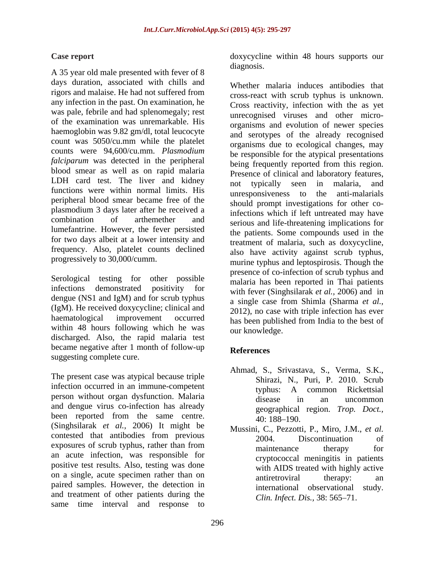A 35 year old male presented with fever of 8 days duration, associated with chills and rigors and malaise. He had not suffered from any infection in the past. On examination, he was pale, febrile and had splenomegaly; rest of the examination was unremarkable. His haemoglobin was 9.82 gm/dl, total leucocyte count was 5050/cu.mm while the platelet counts were 94,600/cu.mm. *Plasmodium falciparum* was detected in the peripheral blood smear as well as on rapid malaria LDH card test. The liver and kidney not typically seen in malaria, and functions were within normal limits. His anti-magnetic mereponsiveness to the anti-malarials peripheral blood smear became free of the plasmodium 3 days later after he received a lumefantrine. However, the fever persisted frequency. Also, platelet counts declined<br>progressively to 30,000/cumm.

Serological testing for other possible dengue (NS1 and IgM) and for scrub typhus (IgM). He received doxycycline; clinical and within 48 hours following which he was discharged. Also, the rapid malaria test became negative after 1 month of follow-up References suggesting complete cure.

The present case was atypical because triple infection occurred in an immune-competent typhus: A common Rickettsial person without organ dysfunction. Malaria disease in an uncommon and dengue virus co-infection has already geographical region. Trop. Doct., been reported from the same centre.  $\frac{1}{40:188-190.}$ (Singhsilarak *et al.,* 2006) It might be contested that antibodies from previous exposures of scrub typhus, rather than from maintenance therapy for an acute infection, was responsible for positive test results. Also, testing was done on a single, acute specimen rather than on a matrice over the antipaired samples. However, the detection in and treatment of other patients during the same time interval and response to

**Case report** doxycycline within 48 hours supports our diagnosis. The contract of the contract of the contract of the contract of the contract of the contract of the contract of the contract of the contract of the contract of the contract of the contract of the contract of the

combination of arthemether and serious and life-threatening implications for for two days albeit at a lower intensity and<br>treatment of malaria, such as doxycycline, progressively to 30,000/cumm.<br>
murine typhus and leptospirosis. Though the infections demonstrated positivity for with fever (Singhsilarak *et al.,* 2006) and in haematological improvement occurred has been published from India to the best of Whether malaria induces antibodies that cross-react with scrub typhus is unknown. Cross reactivity, infection with the as yet unrecognised viruses and other micro organisms and evolution of newer species and serotypes of the already recognised organisms due to ecological changes, may be responsible for the atypical presentations being frequently reported from this region. Presence of clinical and laboratory features, not typically seen in malaria, and unresponsiveness to the anti-malarials should prompt investigations for other coinfections which if left untreated may have the patients. Some compounds used in the also have activity against scrub typhus, presence of co-infection of scrub typhus and malaria has been reported in Thai patients a single case from Shimla (Sharma *et al.,* 2012), no case with triple infection has ever our knowledge.

### **References**

- Ahmad, S., Srivastava, S., Verma, S.K., Shirazi, N., Puri, P. 2010. Scrub typhus: A common Rickettsial disease in an uncommon geographical region. *Trop. Doct.,*<br>40:188–190.
- Mussini, C., Pezzotti, P., Miro, J.M., *et al.* 2004. Discontinuation of maintenance therapy for cryptococcal meningitis in patients with AIDS treated with highly active antiretroviral therapy: an international observational study. *Clin. Infect. Dis.,* 38: 565-71.